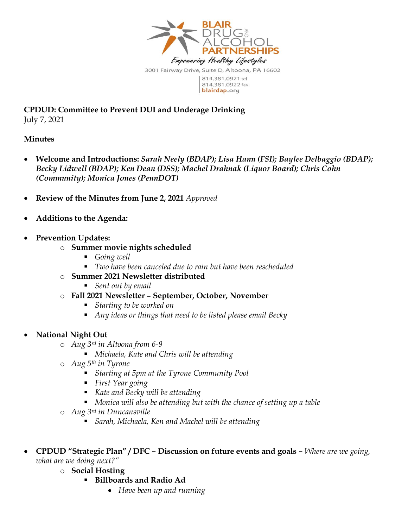

**CPDUD: Committee to Prevent DUI and Underage Drinking** July 7, 2021

#### **Minutes**

- **Welcome and Introductions:** *Sarah Neely (BDAP); Lisa Hann (FSI); Baylee Delbaggio (BDAP); Becky Lidwell (BDAP); Ken Dean (DSS); Machel Drahnak (Liquor Board); Chris Cohn (Community); Monica Jones (PennDOT)*
- **Review of the Minutes from June 2, 2021** *Approved*
- **Additions to the Agenda:**
- **Prevention Updates:** 
	- o **Summer movie nights scheduled** 
		- *Going well*
		- *Two have been canceled due to rain but have been rescheduled*
	- o **Summer 2021 Newsletter distributed**
		- *Sent out by email*
	- o **Fall 2021 Newsletter – September, October, November**
		- *Starting to be worked on*
		- *Any ideas or things that need to be listed please email Becky*
- **National Night Out**
	- o *Aug 3rd in Altoona from 6-9*
		- *Michaela, Kate and Chris will be attending*
	- o *Aug 5th in Tyrone*
		- *Starting at 5pm at the Tyrone Community Pool*
		- *First Year going*
		- *Kate and Becky will be attending*
		- *Monica will also be attending but with the chance of setting up a table*
	- o *Aug 3rd in Duncansville* 
		- *Sarah, Michaela, Ken and Machel will be attending*
- **CPDUD "Strategic Plan" / DFC – Discussion on future events and goals –** *Where are we going, what are we doing next?"*
	- o **Social Hosting** 
		- **Billboards and Radio Ad**
			- *Have been up and running*